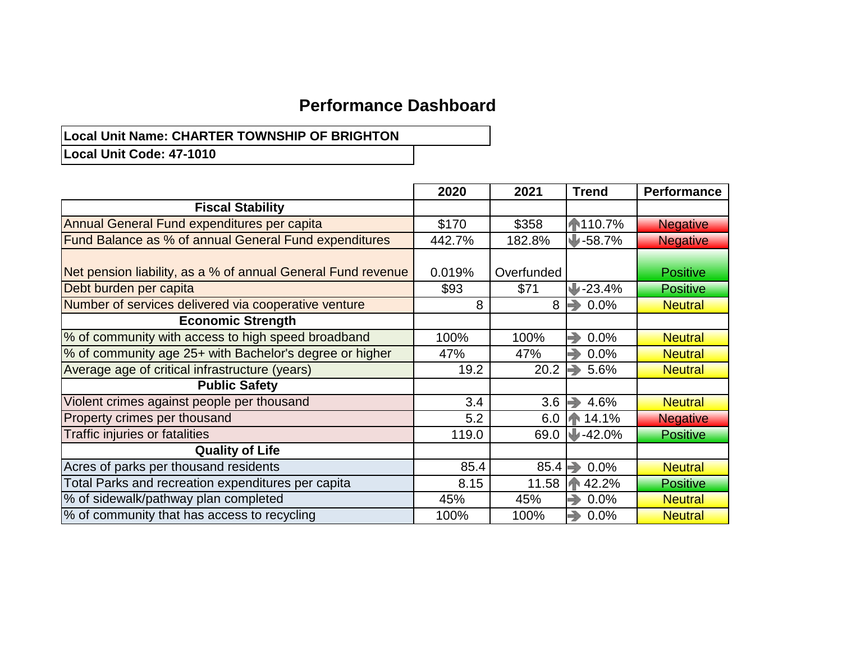### **Performance Dashboard**

# **Local Unit Name: CHARTER TOWNSHIP OF BRIGHTON**

**Local Unit Code: 47-1010**

|                                                              | 2020   | 2021       | <b>Trend</b> | <b>Performance</b> |
|--------------------------------------------------------------|--------|------------|--------------|--------------------|
| <b>Fiscal Stability</b>                                      |        |            |              |                    |
| Annual General Fund expenditures per capita                  | \$170  | \$358      | ₼110.7%      | <b>Negative</b>    |
| Fund Balance as % of annual General Fund expenditures        | 442.7% | 182.8%     | $J - 58.7%$  | <b>Negative</b>    |
|                                                              |        |            |              |                    |
| Net pension liability, as a % of annual General Fund revenue | 0.019% | Overfunded |              | <b>Positive</b>    |
| Debt burden per capita                                       | \$93   | \$71       | $-23.4%$     | <b>Positive</b>    |
| Number of services delivered via cooperative venture         | 8      | 8          | ⇛<br>0.0%    | <b>Neutral</b>     |
| <b>Economic Strength</b>                                     |        |            |              |                    |
| % of community with access to high speed broadband           | 100%   | 100%       | →<br>0.0%    | <b>Neutral</b>     |
| % of community age 25+ with Bachelor's degree or higher      | 47%    | 47%        | →<br>0.0%    | <b>Neutral</b>     |
| Average age of critical infrastructure (years)               | 19.2   | 20.2       | →<br>5.6%    | <b>Neutral</b>     |
| <b>Public Safety</b>                                         |        |            |              |                    |
| Violent crimes against people per thousand                   | 3.4    | 3.6        | 4.6%<br>→    | <b>Neutral</b>     |
| Property crimes per thousand                                 | 5.2    | 6.0        | ₼ 14.1%      | <b>Negative</b>    |
| Traffic injuries or fatalities                               | 119.0  | 69.0       | $-42.0%$     | <b>Positive</b>    |
| <b>Quality of Life</b>                                       |        |            |              |                    |
| Acres of parks per thousand residents                        | 85.4   | 85.4       | →<br>0.0%    | <b>Neutral</b>     |
| Total Parks and recreation expenditures per capita           | 8.15   | 11.58      | 42.2%<br>ИN  | <b>Positive</b>    |
| % of sidewalk/pathway plan completed                         | 45%    | 45%        | →<br>0.0%    | <b>Neutral</b>     |
| % of community that has access to recycling                  | 100%   | 100%       | →<br>0.0%    | <b>Neutral</b>     |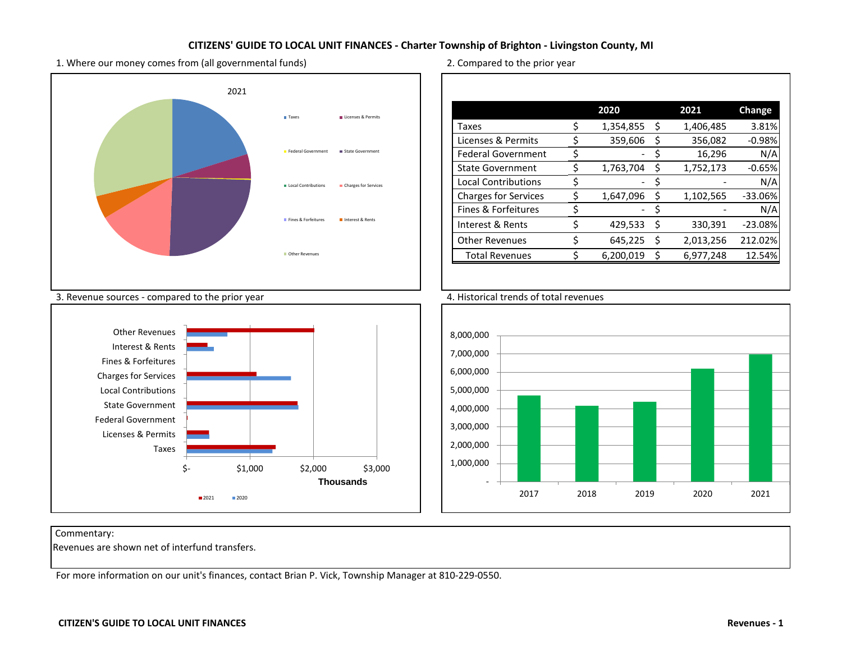1. Where our money comes from (all governmental funds) 2. Compared to the prior year



Commentary:

Revenues are shown net of interfund transfers.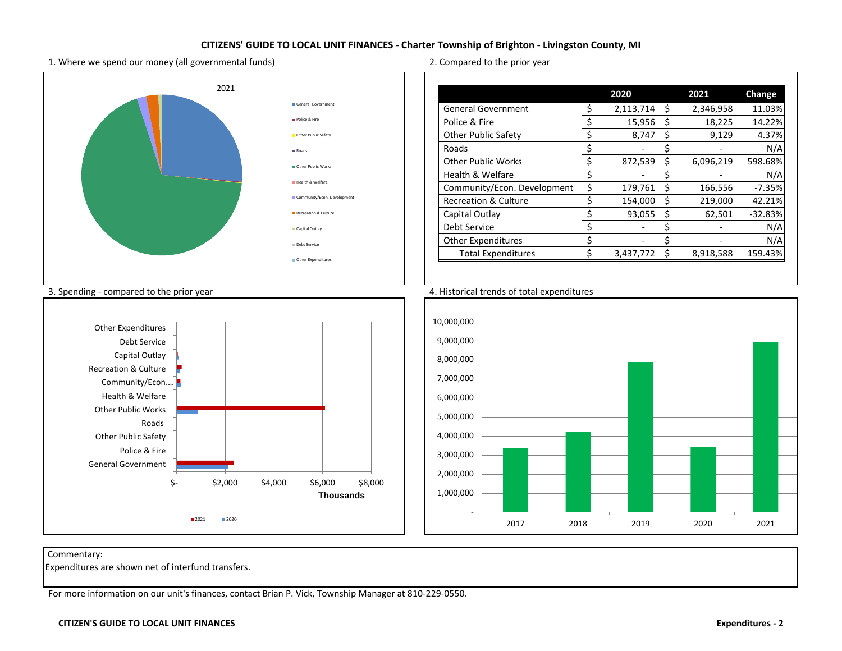1. Where we spend our money (all governmental funds) 2. Compared to the prior year



Commentary:

Expenditures are shown net of interfund transfers.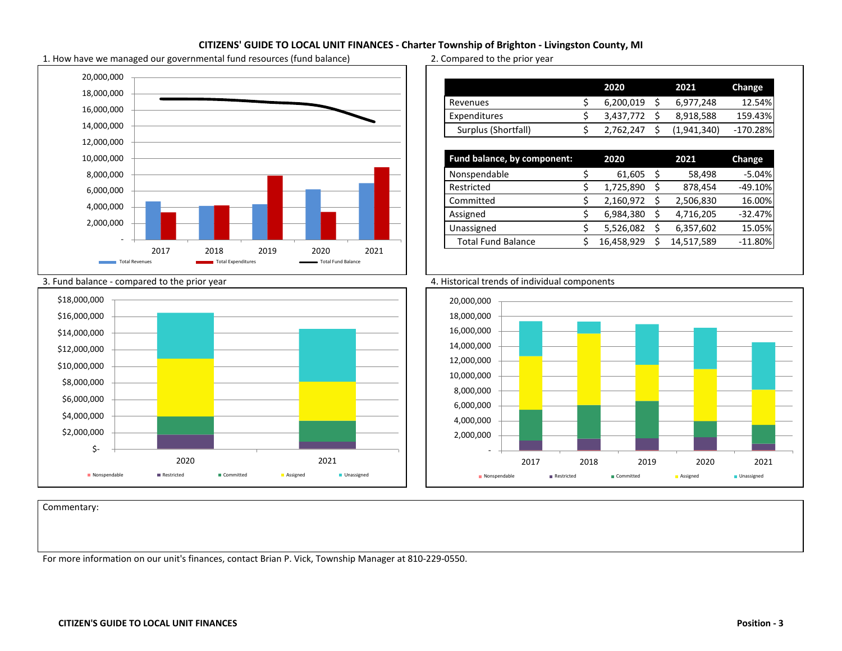

1. How have we managed our governmental fund resources (fund balance) 2. Compared to the prior year

|                     | 2020      | 2021        | Change     |
|---------------------|-----------|-------------|------------|
| Revenues            | 6,200,019 | 6,977,248   | 12.54%     |
| Expenditures        | 3,437,772 | 8,918,588   | 159.43%    |
| Surplus (Shortfall) | 2,762,247 | (1,941,340) | $-170.28%$ |

| Fund balance, by component: | 2020       |    | 2021       | <b>Change</b> |
|-----------------------------|------------|----|------------|---------------|
| Nonspendable                | 61,605     | \$ | 58,498     | $-5.04%$      |
| Restricted                  | 1,725,890  | Ś  | 878,454    | $-49.10%$     |
| Committed                   | 2,160,972  |    | 2,506,830  | 16.00%        |
| Assigned                    | 6,984,380  | \$ | 4,716,205  | $-32.47%$     |
| Unassigned                  | 5,526,082  | \$ | 6,357,602  | 15.05%        |
| <b>Total Fund Balance</b>   | 16,458,929 | ς  | 14,517,589 | $-11.80%$     |







Commentary: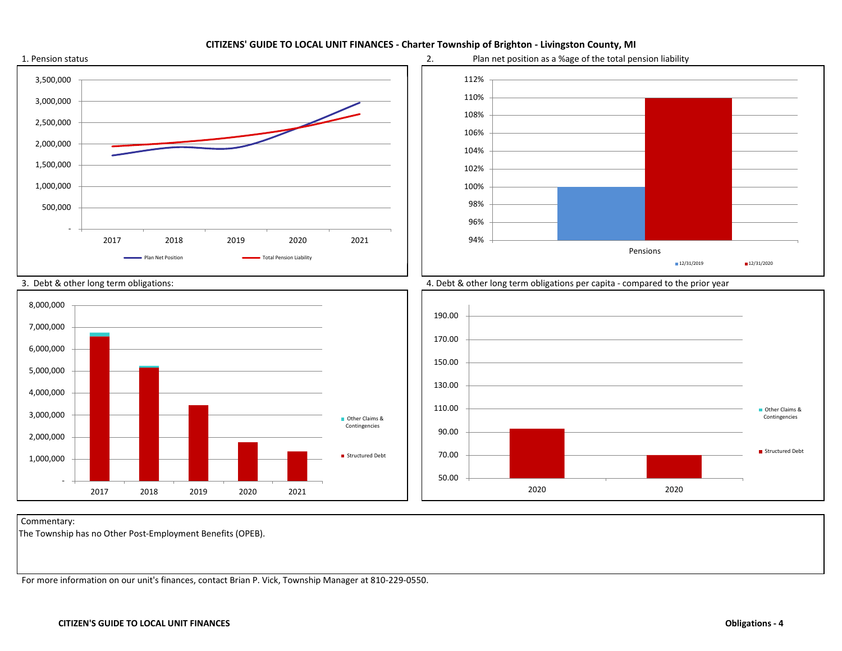

Commentary:

The Township has no Other Post-Employment Benefits (OPEB).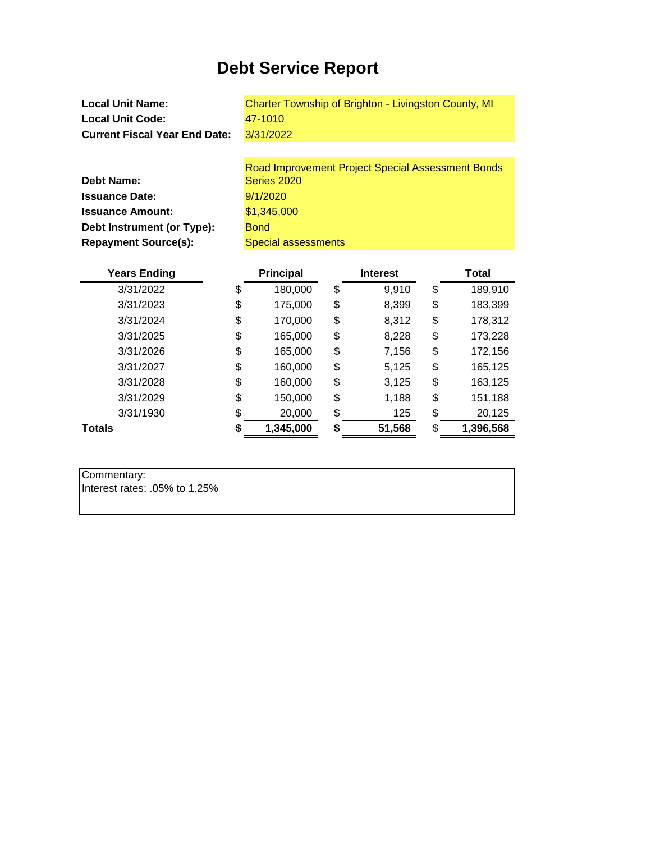# **Debt Service Report**

**Local Unit Name: Local Unit Code: Current Fiscal Year End Date:** Charter Township of Brighton - Livingston County, MI 47-1010 3/31/2022

|                             | Road Improvement Project Special Assessment Bonds |
|-----------------------------|---------------------------------------------------|
| <b>Debt Name:</b>           | Series 2020                                       |
| <b>Issuance Date:</b>       | 9/1/2020                                          |
| <b>Issuance Amount:</b>     | \$1,345,000                                       |
| Debt Instrument (or Type):  | <b>Bond</b>                                       |
| <b>Repayment Source(s):</b> | Special assessments                               |

| <b>Years Ending</b> | <b>Principal</b> | <b>Interest</b> |    | Total     |
|---------------------|------------------|-----------------|----|-----------|
| 3/31/2022           | \$<br>180,000    | \$<br>9,910     | \$ | 189,910   |
| 3/31/2023           | \$<br>175,000    | \$<br>8,399     | \$ | 183,399   |
| 3/31/2024           | \$<br>170,000    | \$<br>8,312     | \$ | 178,312   |
| 3/31/2025           | \$<br>165,000    | \$<br>8,228     | \$ | 173,228   |
| 3/31/2026           | \$<br>165,000    | \$<br>7,156     | \$ | 172,156   |
| 3/31/2027           | \$<br>160,000    | \$<br>5,125     | \$ | 165,125   |
| 3/31/2028           | \$<br>160,000    | \$<br>3,125     | \$ | 163,125   |
| 3/31/2029           | \$<br>150,000    | \$<br>1,188     | \$ | 151,188   |
| 3/31/1930           | \$<br>20,000     | \$<br>125       | \$ | 20,125    |
| <b>Totals</b>       | 1,345,000        | \$<br>51,568    | S. | 1,396,568 |

| Commentary:                   |  |
|-------------------------------|--|
| lnterest rates: .05% to 1.25% |  |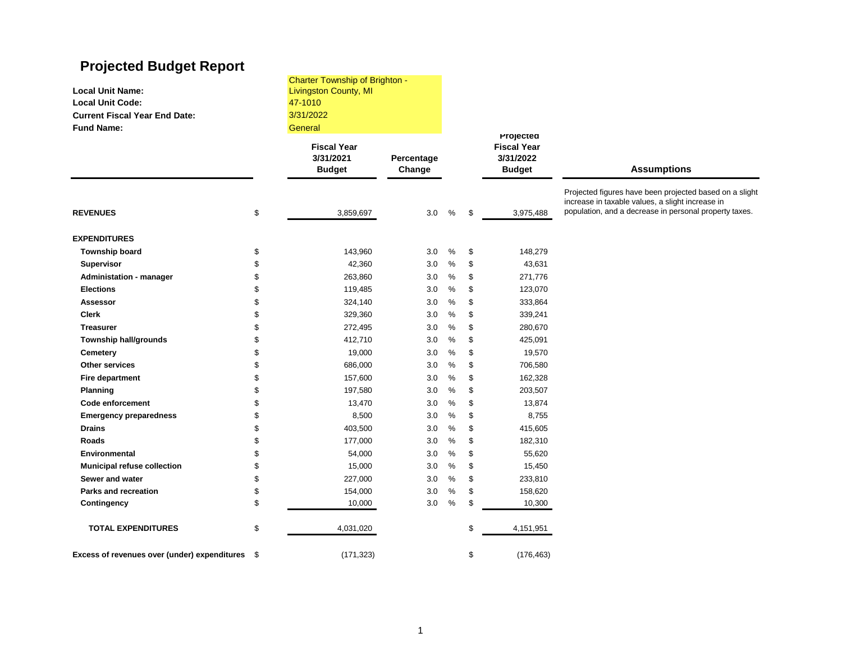# **Projected Budget Report**

| <b>Local Unit Name:</b><br><b>Local Unit Code:</b><br><b>Current Fiscal Year End Date:</b><br><b>Fund Name:</b> |    | <b>Charter Township of Brighton -</b><br><b>Livingston County, MI</b><br>47-1010<br>3/31/2022<br>General |                      |      |                                                               |                                                                                                             |  |
|-----------------------------------------------------------------------------------------------------------------|----|----------------------------------------------------------------------------------------------------------|----------------------|------|---------------------------------------------------------------|-------------------------------------------------------------------------------------------------------------|--|
|                                                                                                                 |    | <b>Fiscal Year</b><br>3/31/2021<br><b>Budget</b>                                                         | Percentage<br>Change |      | Projected<br><b>Fiscal Year</b><br>3/31/2022<br><b>Budget</b> | <b>Assumptions</b>                                                                                          |  |
|                                                                                                                 |    |                                                                                                          |                      |      |                                                               | Projected figures have been projected based on a slight<br>increase in taxable values, a slight increase in |  |
| <b>REVENUES</b>                                                                                                 | \$ | 3,859,697                                                                                                | 3.0                  | $\%$ | \$<br>3,975,488                                               | population, and a decrease in personal property taxes.                                                      |  |
| <b>EXPENDITURES</b>                                                                                             |    |                                                                                                          |                      |      |                                                               |                                                                                                             |  |
| Township board                                                                                                  | \$ | 143,960                                                                                                  | 3.0                  | $\%$ | \$<br>148,279                                                 |                                                                                                             |  |
| <b>Supervisor</b>                                                                                               | \$ | 42,360                                                                                                   | 3.0                  | %    | \$<br>43,631                                                  |                                                                                                             |  |
| <b>Administation - manager</b>                                                                                  | \$ | 263,860                                                                                                  | 3.0                  | %    | \$<br>271,776                                                 |                                                                                                             |  |
| <b>Elections</b>                                                                                                | \$ | 119,485                                                                                                  | 3.0                  | %    | \$<br>123,070                                                 |                                                                                                             |  |
| <b>Assessor</b>                                                                                                 | \$ | 324,140                                                                                                  | 3.0                  | $\%$ | \$<br>333,864                                                 |                                                                                                             |  |
| <b>Clerk</b>                                                                                                    | \$ | 329,360                                                                                                  | 3.0                  | %    | \$<br>339,241                                                 |                                                                                                             |  |
| <b>Treasurer</b>                                                                                                | \$ | 272,495                                                                                                  | 3.0                  | %    | \$<br>280,670                                                 |                                                                                                             |  |
| Township hall/grounds                                                                                           | \$ | 412,710                                                                                                  | 3.0                  | %    | \$<br>425,091                                                 |                                                                                                             |  |
| Cemetery                                                                                                        | \$ | 19,000                                                                                                   | 3.0                  | %    | \$<br>19,570                                                  |                                                                                                             |  |
| Other services                                                                                                  | \$ | 686,000                                                                                                  | 3.0                  | $\%$ | \$<br>706,580                                                 |                                                                                                             |  |
| Fire department                                                                                                 | \$ | 157,600                                                                                                  | 3.0                  | %    | \$<br>162,328                                                 |                                                                                                             |  |
| Planning                                                                                                        | \$ | 197,580                                                                                                  | 3.0                  | $\%$ | \$<br>203,507                                                 |                                                                                                             |  |
| <b>Code enforcement</b>                                                                                         | \$ | 13,470                                                                                                   | 3.0                  | %    | \$<br>13,874                                                  |                                                                                                             |  |
| <b>Emergency preparedness</b>                                                                                   | \$ | 8,500                                                                                                    | 3.0                  | %    | \$<br>8,755                                                   |                                                                                                             |  |
| <b>Drains</b>                                                                                                   | \$ | 403,500                                                                                                  | 3.0                  | %    | \$<br>415,605                                                 |                                                                                                             |  |
| Roads                                                                                                           | \$ | 177,000                                                                                                  | 3.0                  | %    | \$<br>182,310                                                 |                                                                                                             |  |
| Environmental                                                                                                   | \$ | 54,000                                                                                                   | 3.0                  | $\%$ | \$<br>55,620                                                  |                                                                                                             |  |
| <b>Municipal refuse collection</b>                                                                              | \$ | 15,000                                                                                                   | 3.0                  | %    | \$<br>15,450                                                  |                                                                                                             |  |
| Sewer and water                                                                                                 | \$ | 227,000                                                                                                  | 3.0                  | %    | \$<br>233,810                                                 |                                                                                                             |  |
| <b>Parks and recreation</b>                                                                                     | \$ | 154,000                                                                                                  | 3.0                  | %    | \$<br>158,620                                                 |                                                                                                             |  |
| Contingency                                                                                                     | \$ | 10,000                                                                                                   | 3.0                  | %    | \$<br>10,300                                                  |                                                                                                             |  |
| <b>TOTAL EXPENDITURES</b>                                                                                       | \$ | 4,031,020                                                                                                |                      |      | \$<br>4,151,951                                               |                                                                                                             |  |
| Excess of revenues over (under) expenditures \$                                                                 |    | (171, 323)                                                                                               |                      |      | \$<br>(176, 463)                                              |                                                                                                             |  |